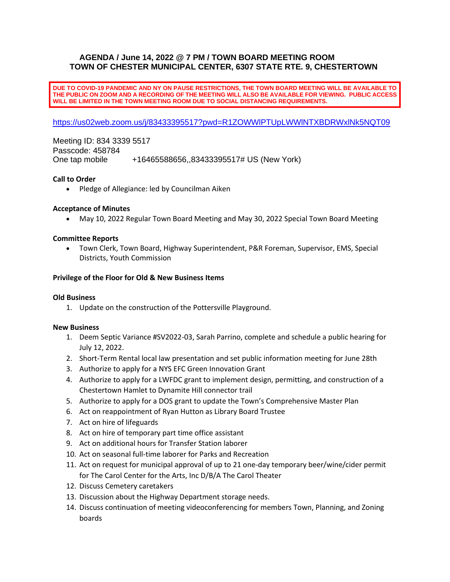# **AGENDA / June 14, 2022 @ 7 PM / TOWN BOARD MEETING ROOM TOWN OF CHESTER MUNICIPAL CENTER, 6307 STATE RTE. 9, CHESTERTOWN**

**DUE TO COVID-19 PANDEMIC AND NY ON PAUSE RESTRICTIONS, THE TOWN BOARD MEETING WILL BE AVAILABLE TO THE PUBLIC ON ZOOM AND A RECORDING OF THE MEETING WILL ALSO BE AVAILABLE FOR VIEWING. PUBLIC ACCESS WILL BE LIMITED IN THE TOWN MEETING ROOM DUE TO SOCIAL DISTANCING REQUIREMENTS.**

[https://us02web.zoom.us/j/83433395517?pwd=R1ZOWWlPTUpLWWlNTXBDRWxlNk5NQT09](https://www.google.com/url?q=https%3A%2F%2Fus02web.zoom.us%2Fj%2F83433395517%3Fpwd%3DR1ZOWWlPTUpLWWlNTXBDRWxlNk5NQT09&sa=D&ust=1652299638533000&usg=AOvVaw2_aVC6tSFYJ0Mrf82og-mh)

Meeting ID: 834 3339 5517 Passcode: 458784 One tap mobile +16465588656,,83433395517# US (New York)

## **Call to Order**

• Pledge of Allegiance: led by Councilman Aiken

## **Acceptance of Minutes**

• May 10, 2022 Regular Town Board Meeting and May 30, 2022 Special Town Board Meeting

## **Committee Reports**

• Town Clerk, Town Board, Highway Superintendent, P&R Foreman, Supervisor, EMS, Special Districts, Youth Commission

#### **Privilege of the Floor for Old & New Business Items**

#### **Old Business**

1. Update on the construction of the Pottersville Playground.

#### **New Business**

- 1. Deem Septic Variance #SV2022-03, Sarah Parrino, complete and schedule a public hearing for July 12, 2022.
- 2. Short-Term Rental local law presentation and set public information meeting for June 28th
- 3. Authorize to apply for a NYS EFC Green Innovation Grant
- 4. Authorize to apply for a LWFDC grant to implement design, permitting, and construction of a Chestertown Hamlet to Dynamite Hill connector trail
- 5. Authorize to apply for a DOS grant to update the Town's Comprehensive Master Plan
- 6. Act on reappointment of Ryan Hutton as Library Board Trustee
- 7. Act on hire of lifeguards
- 8. Act on hire of temporary part time office assistant
- 9. Act on additional hours for Transfer Station laborer
- 10. Act on seasonal full-time laborer for Parks and Recreation
- 11. Act on request for municipal approval of up to 21 one-day temporary beer/wine/cider permit for The Carol Center for the Arts, Inc D/B/A The Carol Theater
- 12. Discuss Cemetery caretakers
- 13. Discussion about the Highway Department storage needs.
- 14. Discuss continuation of meeting videoconferencing for members Town, Planning, and Zoning boards